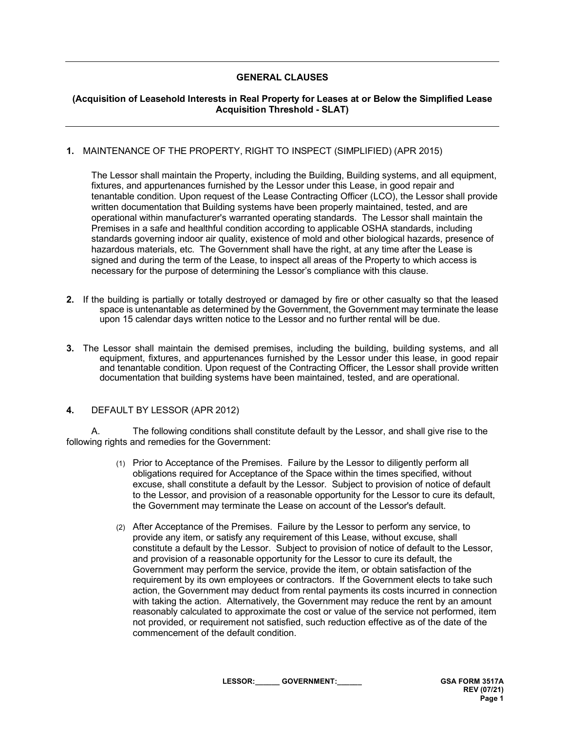# **GENERAL CLAUSES**

### **(Acquisition of Leasehold Interests in Real Property for Leases at or Below the Simplified Lease Acquisition Threshold - SLAT)**

#### **1.** MAINTENANCE OF THE PROPERTY, RIGHT TO INSPECT (SIMPLIFIED) (APR 2015)

The Lessor shall maintain the Property, including the Building, Building systems, and all equipment, fixtures, and appurtenances furnished by the Lessor under this Lease, in good repair and tenantable condition. Upon request of the Lease Contracting Officer (LCO), the Lessor shall provide written documentation that Building systems have been properly maintained, tested, and are operational within manufacturer's warranted operating standards. The Lessor shall maintain the Premises in a safe and healthful condition according to applicable OSHA standards, including standards governing indoor air quality, existence of mold and other biological hazards, presence of hazardous materials, etc. The Government shall have the right, at any time after the Lease is signed and during the term of the Lease, to inspect all areas of the Property to which access is necessary for the purpose of determining the Lessor's compliance with this clause.

- **2.** If the building is partially or totally destroyed or damaged by fire or other casualty so that the leased space is untenantable as determined by the Government, the Government may terminate the lease upon 15 calendar days written notice to the Lessor and no further rental will be due.
- **3.** The Lessor shall maintain the demised premises, including the building, building systems, and all equipment, fixtures, and appurtenances furnished by the Lessor under this lease, in good repair and tenantable condition. Upon request of the Contracting Officer, the Lessor shall provide written documentation that building systems have been maintained, tested, and are operational.

#### **4.** DEFAULT BY LESSOR (APR 2012)

A. The following conditions shall constitute default by the Lessor, and shall give rise to the following rights and remedies for the Government:

- (1) Prior to Acceptance of the Premises. Failure by the Lessor to diligently perform all obligations required for Acceptance of the Space within the times specified, without excuse, shall constitute a default by the Lessor. Subject to provision of notice of default to the Lessor, and provision of a reasonable opportunity for the Lessor to cure its default, the Government may terminate the Lease on account of the Lessor's default.
- (2) After Acceptance of the Premises. Failure by the Lessor to perform any service, to provide any item, or satisfy any requirement of this Lease, without excuse, shall constitute a default by the Lessor. Subject to provision of notice of default to the Lessor, and provision of a reasonable opportunity for the Lessor to cure its default, the Government may perform the service, provide the item, or obtain satisfaction of the requirement by its own employees or contractors. If the Government elects to take such action, the Government may deduct from rental payments its costs incurred in connection with taking the action. Alternatively, the Government may reduce the rent by an amount reasonably calculated to approximate the cost or value of the service not performed, item not provided, or requirement not satisfied, such reduction effective as of the date of the commencement of the default condition.

LESSOR: GOVERNMENT: GSA FORM 3517A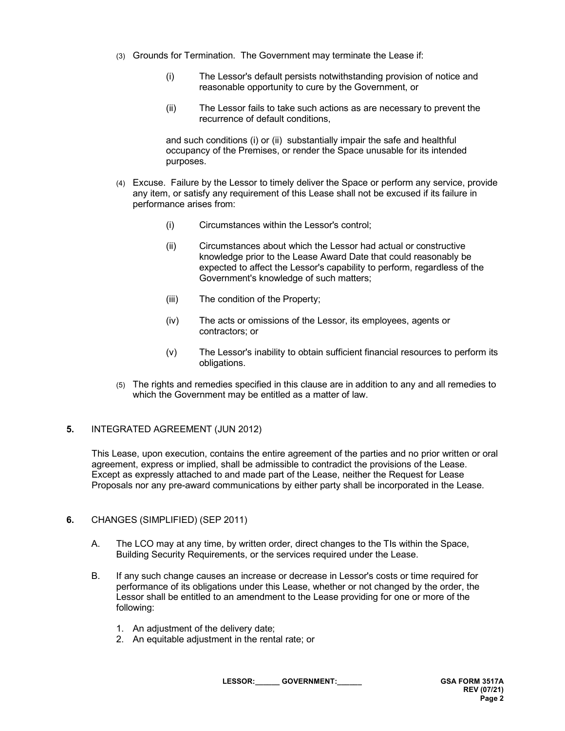- (3) Grounds for Termination. The Government may terminate the Lease if:
	- (i) The Lessor's default persists notwithstanding provision of notice and reasonable opportunity to cure by the Government, or
	- (ii) The Lessor fails to take such actions as are necessary to prevent the recurrence of default conditions,

and such conditions (i) or (ii) substantially impair the safe and healthful occupancy of the Premises, or render the Space unusable for its intended purposes.

- (4) Excuse. Failure by the Lessor to timely deliver the Space or perform any service, provide any item, or satisfy any requirement of this Lease shall not be excused if its failure in performance arises from:
	- (i) Circumstances within the Lessor's control;
	- (ii) Circumstances about which the Lessor had actual or constructive knowledge prior to the Lease Award Date that could reasonably be expected to affect the Lessor's capability to perform, regardless of the Government's knowledge of such matters;
	- (iii) The condition of the Property;
	- (iv) The acts or omissions of the Lessor, its employees, agents or contractors; or
	- (v) The Lessor's inability to obtain sufficient financial resources to perform its obligations.
- (5) The rights and remedies specified in this clause are in addition to any and all remedies to which the Government may be entitled as a matter of law.

# **5.** INTEGRATED AGREEMENT (JUN 2012)

This Lease, upon execution, contains the entire agreement of the parties and no prior written or oral agreement, express or implied, shall be admissible to contradict the provisions of the Lease. Except as expressly attached to and made part of the Lease, neither the Request for Lease Proposals nor any pre-award communications by either party shall be incorporated in the Lease.

# **6.** CHANGES (SIMPLIFIED) (SEP 2011)

- A. The LCO may at any time, by written order, direct changes to the TIs within the Space, Building Security Requirements, or the services required under the Lease.
- B. If any such change causes an increase or decrease in Lessor's costs or time required for performance of its obligations under this Lease, whether or not changed by the order, the Lessor shall be entitled to an amendment to the Lease providing for one or more of the following:
	- 1. An adjustment of the delivery date;
	- 2. An equitable adjustment in the rental rate; or

**LESSOR:\_\_\_\_\_\_ GOVERNMENT:\_\_\_\_\_\_ GSA FORM 3517A**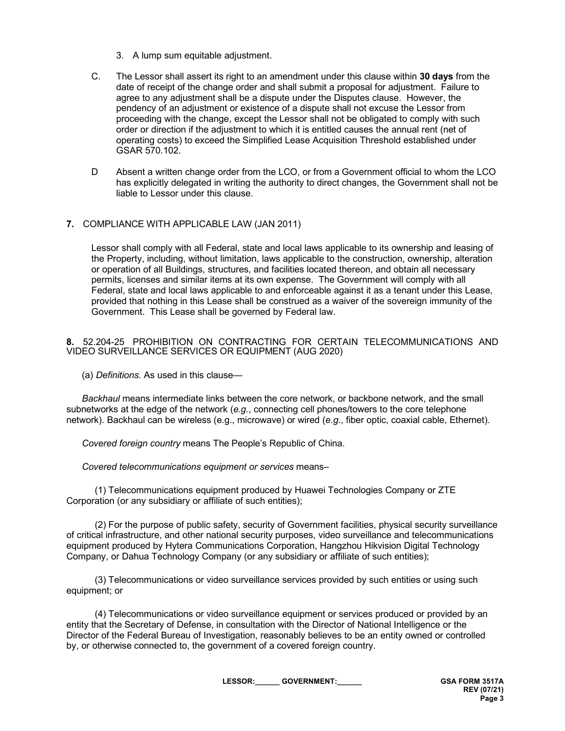- 3. A lump sum equitable adjustment.
- C. The Lessor shall assert its right to an amendment under this clause within **30 days** from the date of receipt of the change order and shall submit a proposal for adjustment. Failure to agree to any adjustment shall be a dispute under the Disputes clause. However, the pendency of an adjustment or existence of a dispute shall not excuse the Lessor from proceeding with the change, except the Lessor shall not be obligated to comply with such order or direction if the adjustment to which it is entitled causes the annual rent (net of operating costs) to exceed the Simplified Lease Acquisition Threshold established under GSAR 570.102.
- D Absent a written change order from the LCO, or from a Government official to whom the LCO has explicitly delegated in writing the authority to direct changes, the Government shall not be liable to Lessor under this clause.

# **7.** COMPLIANCE WITH APPLICABLE LAW (JAN 2011)

Lessor shall comply with all Federal, state and local laws applicable to its ownership and leasing of the Property, including, without limitation, laws applicable to the construction, ownership, alteration or operation of all Buildings, structures, and facilities located thereon, and obtain all necessary permits, licenses and similar items at its own expense. The Government will comply with all Federal, state and local laws applicable to and enforceable against it as a tenant under this Lease, provided that nothing in this Lease shall be construed as a waiver of the sovereign immunity of the Government. This Lease shall be governed by Federal law.

### **8.** 52.204-25 PROHIBITION ON CONTRACTING FOR CERTAIN TELECOMMUNICATIONS AND VIDEO SURVEILLANCE SERVICES OR EQUIPMENT (AUG 2020)

(a) *Definitions.* As used in this clause—

 *Backhaul* means intermediate links between the core network, or backbone network, and the small subnetworks at the edge of the network (*e.g.*, connecting cell phones/towers to the core telephone network). Backhaul can be wireless (e.g., microwave) or wired (*e.g.*, fiber optic, coaxial cable, Ethernet).

*Covered foreign country* means The People's Republic of China.

*Covered telecommunications equipment or services* means–

 (1) Telecommunications equipment produced by Huawei Technologies Company or ZTE Corporation (or any subsidiary or affiliate of such entities);

 (2) For the purpose of public safety, security of Government facilities, physical security surveillance of critical infrastructure, and other national security purposes, video surveillance and telecommunications equipment produced by Hytera Communications Corporation, Hangzhou Hikvision Digital Technology Company, or Dahua Technology Company (or any subsidiary or affiliate of such entities);

 (3) Telecommunications or video surveillance services provided by such entities or using such equipment; or

 (4) Telecommunications or video surveillance equipment or services produced or provided by an entity that the Secretary of Defense, in consultation with the Director of National Intelligence or the Director of the Federal Bureau of Investigation, reasonably believes to be an entity owned or controlled by, or otherwise connected to, the government of a covered foreign country.

**LESSOR:\_\_\_\_\_\_ GOVERNMENT:\_\_\_\_\_\_ GSA FORM 3517A**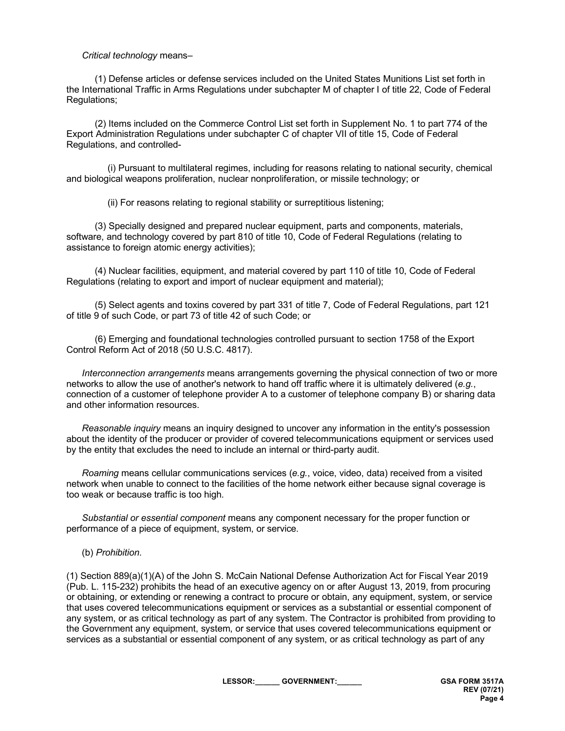#### *Critical technology* means–

 (1) Defense articles or defense services included on the United States Munitions List set forth in the International Traffic in Arms Regulations under subchapter M of chapter I of title 22, Code of Federal Regulations;

 (2) Items included on the Commerce Control List set forth in Supplement No. 1 to part 774 of the Export Administration Regulations under subchapter C of chapter VII of title 15, Code of Federal Regulations, and controlled-

 (i) Pursuant to multilateral regimes, including for reasons relating to national security, chemical and biological weapons proliferation, nuclear nonproliferation, or missile technology; or

(ii) For reasons relating to regional stability or surreptitious listening;

 (3) Specially designed and prepared nuclear equipment, parts and components, materials, software, and technology covered by part 810 of title 10, Code of Federal Regulations (relating to assistance to foreign atomic energy activities);

 (4) Nuclear facilities, equipment, and material covered by part 110 of title 10, Code of Federal Regulations (relating to export and import of nuclear equipment and material);

 (5) Select agents and toxins covered by part 331 of title 7, Code of Federal Regulations, part 121 of title 9 of such Code, or part 73 of title 42 of such Code; or

 (6) Emerging and foundational technologies controlled pursuant to section 1758 of the Export Control Reform Act of 2018 (50 U.S.C. 4817).

 *Interconnection arrangements* means arrangements governing the physical connection of two or more networks to allow the use of another's network to hand off traffic where it is ultimately delivered (*e.g.*, connection of a customer of telephone provider A to a customer of telephone company B) or sharing data and other information resources.

 *Reasonable inquiry* means an inquiry designed to uncover any information in the entity's possession about the identity of the producer or provider of covered telecommunications equipment or services used by the entity that excludes the need to include an internal or third-party audit.

 *Roaming* means cellular communications services (*e.g.*, voice, video, data) received from a visited network when unable to connect to the facilities of the home network either because signal coverage is too weak or because traffic is too high.

 *Substantial or essential component* means any component necessary for the proper function or performance of a piece of equipment, system, or service.

#### (b) *Prohibition*.

(1) Section 889(a)(1)(A) of the John S. McCain National Defense Authorization Act for Fiscal Year 2019 (Pub. L. 115-232) prohibits the head of an executive agency on or after August 13, 2019, from procuring or obtaining, or extending or renewing a contract to procure or obtain, any equipment, system, or service that uses covered telecommunications equipment or services as a substantial or essential component of any system, or as critical technology as part of any system. The Contractor is prohibited from providing to the Government any equipment, system, or service that uses covered telecommunications equipment or services as a substantial or essential component of any system, or as critical technology as part of any

LESSOR: GOVERNMENT: CONFINERTY CSA FORM 3517A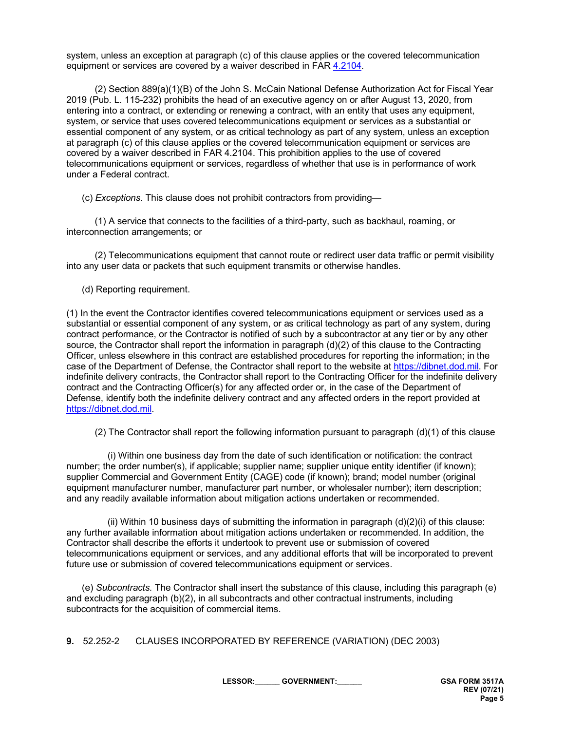system, unless an exception at paragraph (c) of this clause applies or the covered telecommunication equipment or services are covered by a waiver described in FAR [4.2104.](https://www.acquisition.gov/content/part-4-administrative-and-information-matters#id1989GI040ZO)

 (2) Section 889(a)(1)(B) of the John S. McCain National Defense Authorization Act for Fiscal Year 2019 (Pub. L. 115-232) prohibits the head of an executive agency on or after August 13, 2020, from entering into a contract, or extending or renewing a contract, with an entity that uses any equipment, system, or service that uses covered telecommunications equipment or services as a substantial or essential component of any system, or as critical technology as part of any system, unless an exception at paragraph (c) of this clause applies or the covered telecommunication equipment or services are covered by a waiver described in FAR 4.2104. This prohibition applies to the use of covered telecommunications equipment or services, regardless of whether that use is in performance of work under a Federal contract.

(c) *Exceptions.* This clause does not prohibit contractors from providing—

 (1) A service that connects to the facilities of a third-party, such as backhaul, roaming, or interconnection arrangements; or

 (2) Telecommunications equipment that cannot route or redirect user data traffic or permit visibility into any user data or packets that such equipment transmits or otherwise handles.

(d) Reporting requirement.

(1) In the event the Contractor identifies covered telecommunications equipment or services used as a substantial or essential component of any system, or as critical technology as part of any system, during contract performance, or the Contractor is notified of such by a subcontractor at any tier or by any other source, the Contractor shall report the information in paragraph (d)(2) of this clause to the Contracting Officer, unless elsewhere in this contract are established procedures for reporting the information; in the case of the Department of Defense, the Contractor shall report to the website a[t https://dibnet.dod.mil.](https://dibnet.dod.mil/) For indefinite delivery contracts, the Contractor shall report to the Contracting Officer for the indefinite delivery contract and the Contracting Officer(s) for any affected order or, in the case of the Department of Defense, identify both the indefinite delivery contract and any affected orders in the report provided at [https://dibnet.dod.mil.](https://dibnet.dod.mil/)

(2) The Contractor shall report the following information pursuant to paragraph  $(d)(1)$  of this clause

 (i) Within one business day from the date of such identification or notification: the contract number; the order number(s), if applicable; supplier name; supplier unique entity identifier (if known); supplier Commercial and Government Entity (CAGE) code (if known); brand; model number (original equipment manufacturer number, manufacturer part number, or wholesaler number); item description; and any readily available information about mitigation actions undertaken or recommended.

 (ii) Within 10 business days of submitting the information in paragraph (d)(2)(i) of this clause: any further available information about mitigation actions undertaken or recommended. In addition, the Contractor shall describe the efforts it undertook to prevent use or submission of covered telecommunications equipment or services, and any additional efforts that will be incorporated to prevent future use or submission of covered telecommunications equipment or services.

 (e) *Subcontracts.* The Contractor shall insert the substance of this clause, including this paragraph (e) and excluding paragraph (b)(2), in all subcontracts and other contractual instruments, including subcontracts for the acquisition of commercial items.

**9.** 52.252-2 CLAUSES INCORPORATED BY REFERENCE (VARIATION) (DEC 2003)

LESSOR: GOVERNMENT: COVERNMENT: GSA FORM 3517A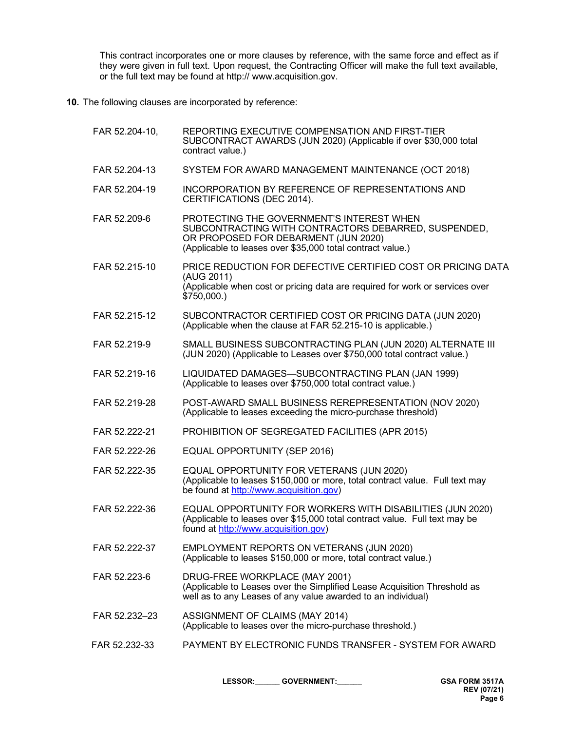This contract incorporates one or more clauses by reference, with the same force and effect as if they were given in full text. Upon request, the Contracting Officer will make the full text available, or the full text may be found at http:// [www.acquisition.gov.](http://www.gsa.gov/leasingform)

**10.** The following clauses are incorporated by reference:

| FAR 52.204-10. | REPORTING EXECUTIVE COMPENSATION AND FIRST-TIER<br>SUBCONTRACT AWARDS (JUN 2020) (Applicable if over \$30,000 total<br>contract value.)                                                                 |
|----------------|---------------------------------------------------------------------------------------------------------------------------------------------------------------------------------------------------------|
| FAR 52.204-13  | SYSTEM FOR AWARD MANAGEMENT MAINTENANCE (OCT 2018)                                                                                                                                                      |
| FAR 52.204-19  | <b>INCORPORATION BY REFERENCE OF REPRESENTATIONS AND</b><br>CERTIFICATIONS (DEC 2014).                                                                                                                  |
| FAR 52.209-6   | PROTECTING THE GOVERNMENT'S INTEREST WHEN<br>SUBCONTRACTING WITH CONTRACTORS DEBARRED, SUSPENDED,<br>OR PROPOSED FOR DEBARMENT (JUN 2020)<br>(Applicable to leases over \$35,000 total contract value.) |
| FAR 52.215-10  | PRICE REDUCTION FOR DEFECTIVE CERTIFIED COST OR PRICING DATA<br>(AUG 2011)<br>(Applicable when cost or pricing data are required for work or services over<br>\$750,000.                                |
| FAR 52.215-12  | SUBCONTRACTOR CERTIFIED COST OR PRICING DATA (JUN 2020)<br>(Applicable when the clause at FAR 52.215-10 is applicable.)                                                                                 |
| FAR 52.219-9   | SMALL BUSINESS SUBCONTRACTING PLAN (JUN 2020) ALTERNATE III<br>(JUN 2020) (Applicable to Leases over \$750,000 total contract value.)                                                                   |
| FAR 52.219-16  | LIQUIDATED DAMAGES-SUBCONTRACTING PLAN (JAN 1999)<br>(Applicable to leases over \$750,000 total contract value.)                                                                                        |
| FAR 52.219-28  | POST-AWARD SMALL BUSINESS REREPRESENTATION (NOV 2020)<br>(Applicable to leases exceeding the micro-purchase threshold)                                                                                  |
| FAR 52.222-21  | PROHIBITION OF SEGREGATED FACILITIES (APR 2015)                                                                                                                                                         |
| FAR 52.222-26  | EQUAL OPPORTUNITY (SEP 2016)                                                                                                                                                                            |
| FAR 52.222-35  | EQUAL OPPORTUNITY FOR VETERANS (JUN 2020)<br>(Applicable to leases \$150,000 or more, total contract value. Full text may<br>be found at http://www.acquisition.gov)                                    |
| FAR 52.222-36  | EQUAL OPPORTUNITY FOR WORKERS WITH DISABILITIES (JUN 2020)<br>(Applicable to leases over \$15,000 total contract value. Full text may be<br>found at http://www.acquisition.gov)                        |
| FAR 52.222-37  | EMPLOYMENT REPORTS ON VETERANS (JUN 2020)<br>(Applicable to leases \$150,000 or more, total contract value.)                                                                                            |
| FAR 52.223-6   | DRUG-FREE WORKPLACE (MAY 2001)<br>(Applicable to Leases over the Simplified Lease Acquisition Threshold as<br>well as to any Leases of any value awarded to an individual)                              |
| FAR 52.232-23  | ASSIGNMENT OF CLAIMS (MAY 2014)<br>(Applicable to leases over the micro-purchase threshold.)                                                                                                            |
| FAR 52.232-33  | PAYMENT BY ELECTRONIC FUNDS TRANSFER - SYSTEM FOR AWARD                                                                                                                                                 |

LESSOR:\_\_\_\_\_\_ GOVERNMENT:\_\_\_\_\_\_ GSA FORM 3517A